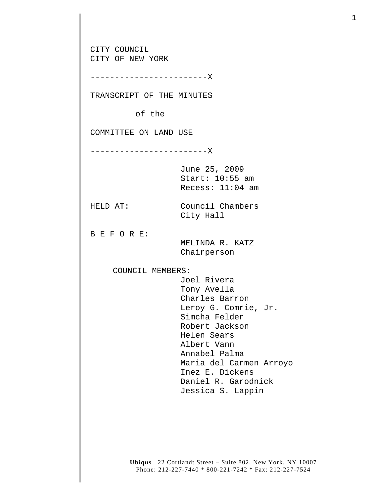CITY COUNCIL CITY OF NEW YORK ------------------------X TRANSCRIPT OF THE MINUTES of the COMMITTEE ON LAND USE ------------------------X June 25, 2009 Start: 10:55 am Recess: 11:04 am HELD AT: Council Chambers City Hall B E F O R E: MELINDA R. KATZ Chairperson COUNCIL MEMBERS: Joel Rivera Tony Avella Charles Barron Leroy G. Comrie, Jr. Simcha Felder Robert Jackson Helen Sears Albert Vann Annabel Palma Maria del Carmen Arroyo Inez E. Dickens Daniel R. Garodnick Jessica S. Lappin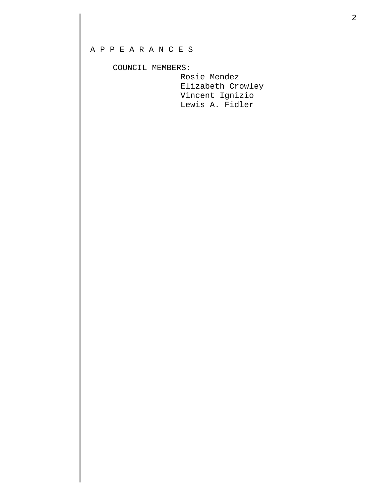## A P P E A R A N C E S

## COUNCIL MEMBERS:

 Rosie Mendez Elizabeth Crowley Vincent Ignizio Lewis A. Fidler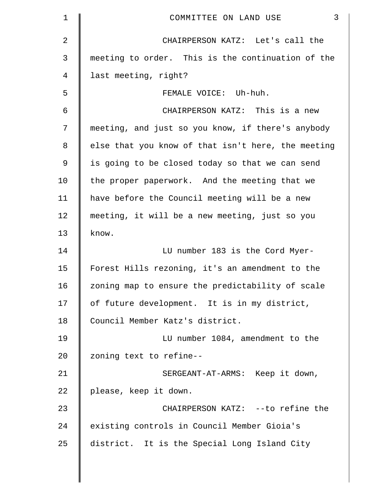| $\mathbf{1}$   | $\mathfrak{Z}$<br>COMMITTEE ON LAND USE            |
|----------------|----------------------------------------------------|
| $\overline{2}$ | CHAIRPERSON KATZ: Let's call the                   |
| 3              | meeting to order. This is the continuation of the  |
| 4              | last meeting, right?                               |
| 5              | FEMALE VOICE: Uh-huh.                              |
| 6              | CHAIRPERSON KATZ: This is a new                    |
| 7              | meeting, and just so you know, if there's anybody  |
| 8              | else that you know of that isn't here, the meeting |
| $\overline{9}$ | is going to be closed today so that we can send    |
| 10             | the proper paperwork. And the meeting that we      |
| 11             | have before the Council meeting will be a new      |
| 12             | meeting, it will be a new meeting, just so you     |
| 13             | know.                                              |
| 14             | LU number 183 is the Cord Myer-                    |
| 15             | Forest Hills rezoning, it's an amendment to the    |
| 16             | zoning map to ensure the predictability of scale   |
| 17             | of future development. It is in my district,       |
| 18             | Council Member Katz's district.                    |
| 19             | LU number 1084, amendment to the                   |
| 20             | zoning text to refine--                            |
| 21             | SERGEANT-AT-ARMS: Keep it down,                    |
| 22             | please, keep it down.                              |
| 23             | CHAIRPERSON KATZ: --to refine the                  |
| 24             | existing controls in Council Member Gioia's        |
| 25             | district. It is the Special Long Island City       |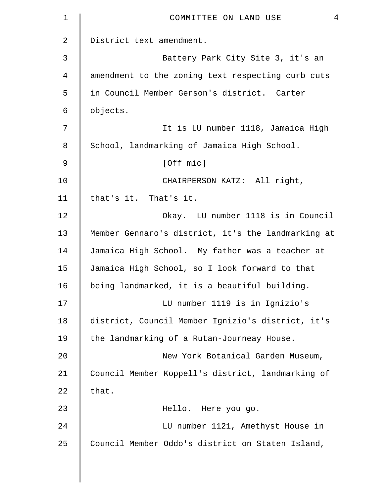| Battery Park City Site 3, it's an                  |
|----------------------------------------------------|
| amendment to the zoning text respecting curb cuts  |
| in Council Member Gerson's district. Carter        |
|                                                    |
| It is LU number 1118, Jamaica High                 |
| School, landmarking of Jamaica High School.        |
|                                                    |
| CHAIRPERSON KATZ: All right,                       |
|                                                    |
| Okay. LU number 1118 is in Council                 |
| Member Gennaro's district, it's the landmarking at |
| Jamaica High School. My father was a teacher at    |
| Jamaica High School, so I look forward to that     |
| being landmarked, it is a beautiful building.      |
| LU number 1119 is in Ignizio's                     |
| district, Council Member Ignizio's district, it's  |
|                                                    |
| New York Botanical Garden Museum,                  |
| Council Member Koppell's district, landmarking of  |
|                                                    |
|                                                    |
| LU number 1121, Amethyst House in                  |
|                                                    |
|                                                    |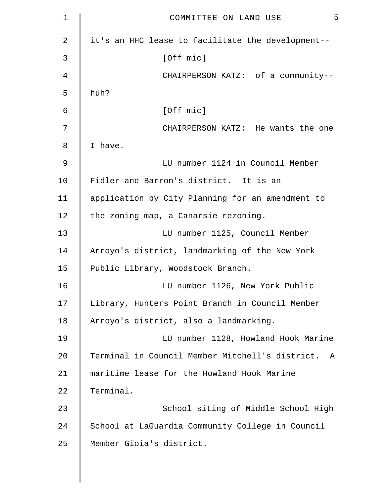| $\mathbf 1$ | 5<br>COMMITTEE ON LAND USE                                      |
|-------------|-----------------------------------------------------------------|
| 2           | it's an HHC lease to facilitate the development--               |
| 3           | [Off mic]                                                       |
| 4           | CHAIRPERSON KATZ: of a community--                              |
| 5           | huh?                                                            |
| 6           | [Off mic]                                                       |
| 7           | CHAIRPERSON KATZ: He wants the one                              |
| 8           | I have.                                                         |
| 9           | LU number 1124 in Council Member                                |
| 10          | Fidler and Barron's district. It is an                          |
| 11          | application by City Planning for an amendment to                |
| 12          | the zoning map, a Canarsie rezoning.                            |
| 13          | LU number 1125, Council Member                                  |
| 14          | Arroyo's district, landmarking of the New York                  |
| 15          | Public Library, Woodstock Branch.                               |
| 16          | LU number 1126, New York Public                                 |
| 17          | Library, Hunters Point Branch in Council Member                 |
| 18          | Arroyo's district, also a landmarking.                          |
| 19          | LU number 1128, Howland Hook Marine                             |
| 20          | Terminal in Council Member Mitchell's district.<br>$\mathsf{A}$ |
| 21          | maritime lease for the Howland Hook Marine                      |
| 22          | Terminal.                                                       |
| 23          | School siting of Middle School High                             |
| 24          | School at LaGuardia Community College in Council                |
| 25          | Member Gioia's district.                                        |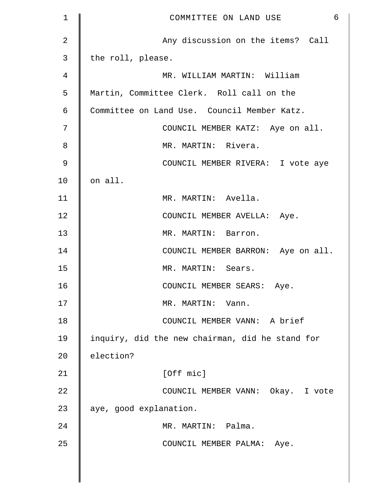| $\mathbf 1$    | 6<br>COMMITTEE ON LAND USE                      |
|----------------|-------------------------------------------------|
| $\overline{2}$ | Any discussion on the items? Call               |
| $\mathsf{3}$   | the roll, please.                               |
| 4              | MR. WILLIAM MARTIN: William                     |
| 5              | Martin, Committee Clerk. Roll call on the       |
| 6              | Committee on Land Use. Council Member Katz.     |
| 7              | COUNCIL MEMBER KATZ: Aye on all.                |
| 8              | MR. MARTIN: Rivera.                             |
| $\mathcal{G}$  | COUNCIL MEMBER RIVERA: I vote aye               |
| 10             | on all.                                         |
| 11             | MR. MARTIN: Avella.                             |
| 12             | COUNCIL MEMBER AVELLA: Aye.                     |
| 13             | MR. MARTIN: Barron.                             |
| 14             | COUNCIL MEMBER BARRON: Aye on all.              |
| 15             | MR. MARTIN: Sears.                              |
| 16             | COUNCIL MEMBER SEARS: Aye.                      |
| 17             | MR. MARTIN: Vann.                               |
| 18             | COUNCIL MEMBER VANN: A brief                    |
| 19             | inquiry, did the new chairman, did he stand for |
| 20             | election?                                       |
| 21             | [Off mic]                                       |
| 22             | COUNCIL MEMBER VANN: Okay. I vote               |
| 23             | aye, good explanation.                          |
| 24             | MR. MARTIN: Palma.                              |
| 25             | COUNCIL MEMBER PALMA: Aye.                      |
|                |                                                 |

 $\parallel$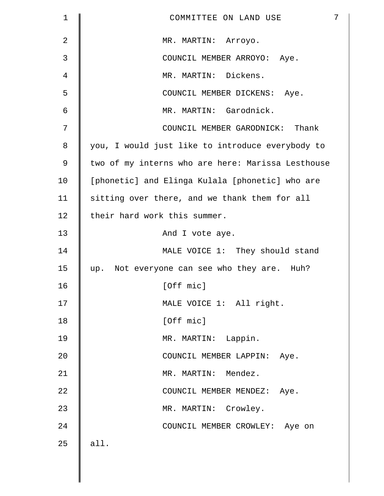| 1              | 7<br>COMMITTEE ON LAND USE                        |
|----------------|---------------------------------------------------|
| $\overline{2}$ | MR. MARTIN: Arroyo.                               |
| 3              | COUNCIL MEMBER ARROYO: Aye.                       |
| 4              | MR. MARTIN: Dickens.                              |
| 5              | COUNCIL MEMBER DICKENS: Aye.                      |
| 6              | MR. MARTIN: Garodnick.                            |
| 7              | COUNCIL MEMBER GARODNICK: Thank                   |
| 8              | you, I would just like to introduce everybody to  |
| 9              | two of my interns who are here: Marissa Lesthouse |
| 10             | [phonetic] and Elinga Kulala [phonetic] who are   |
| 11             | sitting over there, and we thank them for all     |
| 12             | their hard work this summer.                      |
| 13             | And I vote aye.                                   |
| 14             | MALE VOICE 1: They should stand                   |
| 15             | up. Not everyone can see who they are. Huh?       |
| 16             | [Off mic]                                         |
| 17             | MALE VOICE 1: All right.                          |
| 18             | [Off mic]                                         |
| 19             | MR. MARTIN: Lappin.                               |
| 20             | COUNCIL MEMBER LAPPIN: Aye.                       |
| 21             | MR. MARTIN: Mendez.                               |
| 22             | COUNCIL MEMBER MENDEZ: Aye.                       |
| 23             | MR. MARTIN: Crowley.                              |
| 24             | COUNCIL MEMBER CROWLEY: Aye on                    |
| 25             | all.                                              |
|                |                                                   |

 $\parallel$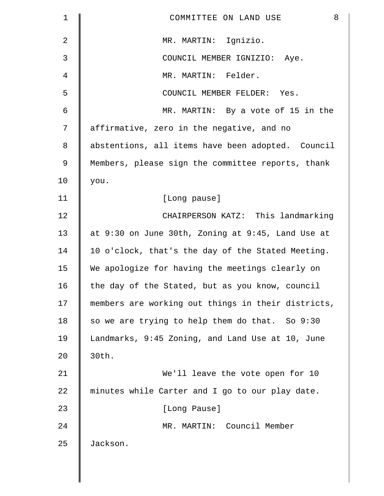| $\mathbf 1$ | 8<br>COMMITTEE ON LAND USE                         |
|-------------|----------------------------------------------------|
| 2           | MR. MARTIN: Ignizio.                               |
| 3           | COUNCIL MEMBER IGNIZIO: Aye.                       |
| 4           | MR. MARTIN: Felder.                                |
| 5           | COUNCIL MEMBER FELDER: Yes.                        |
| 6           | MR. MARTIN: By a vote of 15 in the                 |
| 7           | affirmative, zero in the negative, and no          |
| $\,8\,$     | abstentions, all items have been adopted. Council  |
| 9           | Members, please sign the committee reports, thank  |
| 10          | you.                                               |
| 11          | [Long pause]                                       |
| 12          | CHAIRPERSON KATZ: This landmarking                 |
| 13          | at 9:30 on June 30th, Zoning at 9:45, Land Use at  |
| 14          | 10 o'clock, that's the day of the Stated Meeting.  |
| 15          | We apologize for having the meetings clearly on    |
| 16          | the day of the Stated, but as you know, council    |
| 17          | members are working out things in their districts, |
| 18          | so we are trying to help them do that. So 9:30     |
| 19          | Landmarks, 9:45 Zoning, and Land Use at 10, June   |
| 20          | 30th.                                              |
| 21          | We'll leave the vote open for 10                   |
| 22          | minutes while Carter and I go to our play date.    |
| 23          | [Long Pause]                                       |
| 24          | MR. MARTIN: Council Member                         |
| 25          | Jackson.                                           |
|             |                                                    |

 $\parallel$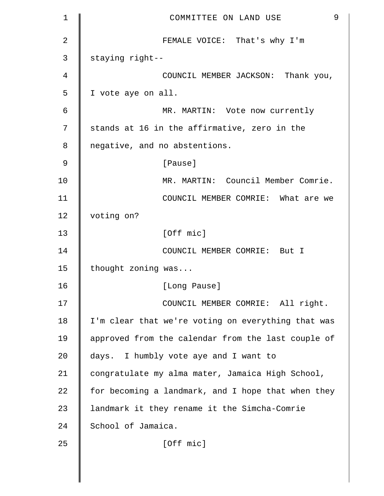| $\mathbf 1$   | 9<br>COMMITTEE ON LAND USE                         |
|---------------|----------------------------------------------------|
| 2             | FEMALE VOICE: That's why I'm                       |
| 3             | staying right--                                    |
| 4             | COUNCIL MEMBER JACKSON: Thank you,                 |
| 5             | I vote aye on all.                                 |
| 6             | MR. MARTIN: Vote now currently                     |
| 7             | stands at 16 in the affirmative, zero in the       |
| 8             | negative, and no abstentions.                      |
| $\mathcal{G}$ | [Pause]                                            |
| 10            | MR. MARTIN: Council Member Comrie.                 |
| 11            | COUNCIL MEMBER COMRIE: What are we                 |
| 12            | voting on?                                         |
| 13            | [Off mic]                                          |
| 14            | COUNCIL MEMBER COMRIE: But I                       |
| 15            | thought zoning was                                 |
| 16            | [Long Pause]                                       |
| 17            | COUNCIL MEMBER COMRIE: All right.                  |
| 18            | I'm clear that we're voting on everything that was |
| 19            | approved from the calendar from the last couple of |
| 20            | days. I humbly vote aye and I want to              |
| 21            | congratulate my alma mater, Jamaica High School,   |
| 22            | for becoming a landmark, and I hope that when they |
| 23            | landmark it they rename it the Simcha-Comrie       |
| 24            | School of Jamaica.                                 |
| 25            | [Off mic]                                          |
|               |                                                    |
|               |                                                    |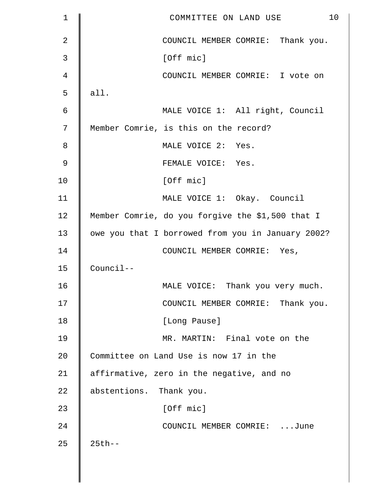| 1  | 10<br>COMMITTEE ON LAND USE                       |
|----|---------------------------------------------------|
| 2  | COUNCIL MEMBER COMRIE: Thank you.                 |
| 3  | [Off mic]                                         |
| 4  | COUNCIL MEMBER COMRIE: I vote on                  |
| 5  | all.                                              |
| 6  | MALE VOICE 1: All right, Council                  |
| 7  | Member Comrie, is this on the record?             |
| 8  | MALE VOICE 2: Yes.                                |
| 9  | FEMALE VOICE: Yes.                                |
| 10 | [Off mic]                                         |
| 11 | MALE VOICE 1: Okay. Council                       |
| 12 | Member Comrie, do you forgive the \$1,500 that I  |
| 13 | owe you that I borrowed from you in January 2002? |
| 14 | COUNCIL MEMBER COMRIE: Yes,                       |
| 15 | Council--                                         |
| 16 | MALE VOICE: Thank you very much.                  |
| 17 | COUNCIL MEMBER COMRIE: Thank you.                 |
| 18 | [Long Pause]                                      |
| 19 | MR. MARTIN: Final vote on the                     |
| 20 | Committee on Land Use is now 17 in the            |
| 21 | affirmative, zero in the negative, and no         |
| 22 | abstentions. Thank you.                           |
| 23 | [Off mic]                                         |
| 24 | COUNCIL MEMBER COMRIE: June                       |
| 25 | $25th - -$                                        |
|    |                                                   |
|    |                                                   |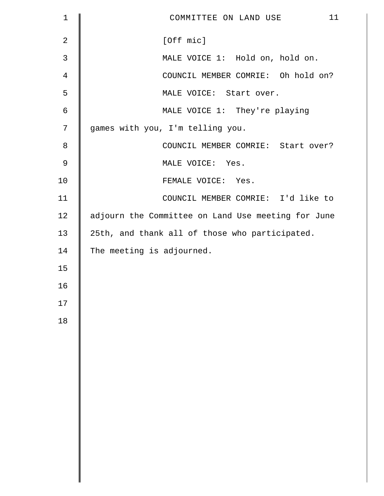| $\mathbf 1$    | 11<br>COMMITTEE ON LAND USE                        |
|----------------|----------------------------------------------------|
| $\overline{2}$ | [Off mic]                                          |
| 3              | MALE VOICE 1: Hold on, hold on.                    |
| $\overline{4}$ | COUNCIL MEMBER COMRIE: Oh hold on?                 |
| 5              | MALE VOICE: Start over.                            |
| 6              | MALE VOICE 1: They're playing                      |
| 7              | games with you, I'm telling you.                   |
| 8              | COUNCIL MEMBER COMRIE: Start over?                 |
| $\mathsf 9$    | MALE VOICE: Yes.                                   |
| 10             | FEMALE VOICE: Yes.                                 |
| 11             | COUNCIL MEMBER COMRIE: I'd like to                 |
| 12             | adjourn the Committee on Land Use meeting for June |
| 13             | 25th, and thank all of those who participated.     |
| 14             | The meeting is adjourned.                          |
| 15             |                                                    |
| 16             |                                                    |
| 17             |                                                    |
| 18             |                                                    |
|                |                                                    |
|                |                                                    |
|                |                                                    |
|                |                                                    |
|                |                                                    |
|                |                                                    |
|                |                                                    |
|                |                                                    |
|                |                                                    |